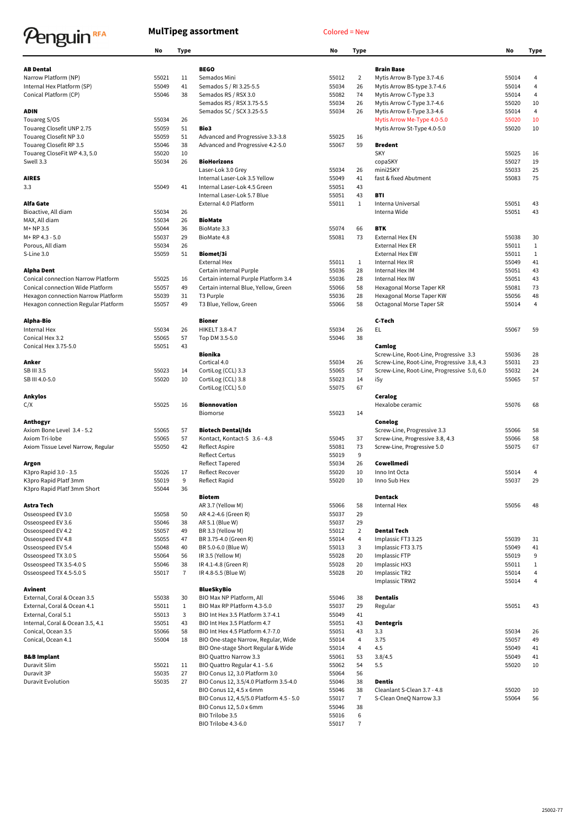## Penguin<sup>RFA</sup>

## **MulTipeg assortment** Colored = New

|                                           | No             | <b>Type</b>  |                                                      | No             | <b>Type</b>          |                                             | <b>No</b>      | <b>Type</b>    |
|-------------------------------------------|----------------|--------------|------------------------------------------------------|----------------|----------------------|---------------------------------------------|----------------|----------------|
| <b>AB Dental</b>                          |                |              | <b>BEGO</b>                                          |                |                      | <b>Brain Base</b>                           |                |                |
| Narrow Platform (NP)                      | 55021          | 11           | Semados Mini                                         | 55012          | $\overline{2}$       | Mytis Arrow B-Type 3.7-4.6                  | 55014          | 4              |
| Internal Hex Platform (SP)                | 55049          | 41           | Semados S / RI 3.25-5.5                              | 55034          | 26                   | Mytis Arrow BS-type 3.7-4.6                 | 55014          | $\overline{4}$ |
| Conical Platform (CP)                     | 55046          | 38           | Semados RS / RSX 3.0                                 | 55082          | 74                   | Mytis Arrow C-Type 3.3                      | 55014          | $\overline{4}$ |
|                                           |                |              | Semados RS / RSX 3.75-5.5                            | 55034          | 26                   | Mytis Arrow C-Type 3.7-4.6                  | 55020          | 10             |
| <b>ADIN</b>                               |                |              | Semados SC / SCX 3.25-5.5                            | 55034          | 26                   | Mytis Arrow E-Type 3.3-4.6                  | 55014          | 4              |
| Touareg S/OS                              | 55034          | 26           |                                                      |                |                      | Mytis Arrow Me-Type 4.0-5.0                 | 55020          | 10             |
| Touareg Closefit UNP 2.75                 | 55059          | 51           | Bio3                                                 |                |                      | Mytis Arrow St-Type 4.0-5.0                 | 55020          | 10             |
| Touareg Closefit NP 3.0                   | 55059          | 51           | Advanced and Progressive 3.3-3.8                     | 55025          | 16                   |                                             |                |                |
| Touareg Closefit RP 3.5                   | 55046          | 38           | Advanced and Progressive 4.2-5.0                     | 55067          | 59                   | <b>Bredent</b>                              |                |                |
| Touareg CloseFit WP 4.3, 5.0              | 55020          | 10           |                                                      |                |                      | <b>SKY</b>                                  | 55025          | 16             |
| Swell 3.3                                 | 55034          | 26           | <b>BioHorizons</b>                                   |                |                      | copaSKY                                     | 55027          | 19             |
|                                           |                |              | Laser-Lok 3.0 Grey                                   | 55034          | 26                   | mini2SKY                                    | 55033          | 25             |
| <b>AIRES</b>                              |                |              | Internal Laser-Lok 3.5 Yellow                        | 55049          | 41                   | fast & fixed Abutment                       | 55083          | 75             |
| 3.3                                       | 55049          | 41           | Internal Laser-Lok 4.5 Green                         | 55051          | 43                   |                                             |                |                |
|                                           |                |              | Internal Laser-Lok 5.7 Blue<br>External 4.0 Platform | 55051          | 43                   | <b>BTI</b>                                  |                |                |
| <b>Alfa Gate</b><br>Bioactive, All diam   | 55034          | 26           |                                                      | 55011          | $\mathbf{1}$         | Interna Universal<br>Interna Wide           | 55051<br>55051 | 43<br>43       |
| MAX, All diam                             | 55034          | 26           | <b>BioMate</b>                                       |                |                      |                                             |                |                |
| $M+NP$ 3.5                                | 55044          | 36           | BioMate 3.3                                          | 55074          | 66                   | <b>BTK</b>                                  |                |                |
| $M+RP 4.3 - 5.0$                          | 55037          | 29           | BioMate 4.8                                          | 55081          | 73                   | <b>External Hex EN</b>                      | 55038          | 30             |
| Porous, All diam                          | 55034          | 26           |                                                      |                |                      | External Hex ER                             | 55011          | $\mathbf{1}$   |
| S-Line 3.0                                | 55059          | 51           | Biomet/3i                                            |                |                      | <b>External Hex EW</b>                      | 55011          | $\mathbf{1}$   |
|                                           |                |              | <b>External Hex</b>                                  | 55011          | $\mathbf{1}$         | Internal Hex IR                             | 55049          | 41             |
| <b>Alpha Dent</b>                         |                |              | Certain internal Purple                              | 55036          | 28                   | Internal Hex IM                             | 55051          | 43             |
| <b>Conical connection Narrow Platform</b> | 55025          | 16           | Certain internal Purple Platform 3.4                 | 55036          | 28                   | Internal Hex IW                             | 55051          | 43             |
| <b>Conical connection Wide Platform</b>   | 55057          | 49           | Certain internal Blue, Yellow, Green                 | 55066          | 58                   | Hexagonal Morse Taper KR                    | 55081          | 73             |
| Hexagon connection Narrow Platform        | 55039          | 31           | T3 Purple                                            | 55036          | 28                   | Hexagonal Morse Taper KW                    | 55056          | 48             |
| Hexagon connection Regular Platform       | 55057          | 49           | T3 Blue, Yellow, Green                               | 55066          | 58                   | Octagonal Morse Taper SR                    | 55014          | $\overline{4}$ |
|                                           |                |              |                                                      |                |                      |                                             |                |                |
| <b>Alpha-Bio</b>                          |                |              | <b>Bioner</b>                                        |                |                      | C-Tech                                      |                |                |
| Internal Hex                              | 55034          | 26           | HIKELT 3.8-4.7                                       | 55034          | 26                   | EL                                          | 55067          | 59             |
| Conical Hex 3.2                           | 55065          | 57           | Top DM 3.5-5.0                                       | 55046          | 38                   |                                             |                |                |
| Conical Hex 3.75-5.0                      | 55051          | 43           |                                                      |                |                      | Camlog                                      |                |                |
|                                           |                |              | <b>Bionika</b>                                       |                |                      | Screw-Line, Root-Line, Progressive 3.3      | 55036          | 28             |
| Anker<br>SB III 3.5                       |                |              | Cortical 4.0                                         | 55034          | 26<br>57             | Screw-Line, Root-Line, Progressive 3.8, 4.3 | 55031          | 23<br>24       |
|                                           | 55023<br>55020 | 14<br>10     | CortiLog (CCL) 3.3                                   | 55065          | 14                   | Screw-Line, Root-Line, Progressive 5.0, 6.0 | 55032          | 57             |
| SB III 4.0-5.0                            |                |              | CortiLog (CCL) 3.8<br>CortiLog (CCL) 5.0             | 55023<br>55075 | 67                   | iSy                                         | 55065          |                |
| <b>Ankylos</b>                            |                |              |                                                      |                |                      | Ceralog                                     |                |                |
| C/X                                       | 55025          | 16           | <b>Bionnovation</b>                                  |                |                      | Hexalobe ceramic                            | 55076          | 68             |
|                                           |                |              | <b>Biomorse</b>                                      | 55023          | 14                   |                                             |                |                |
| Anthogyr                                  |                |              |                                                      |                |                      | <b>Conelog</b>                              |                |                |
| Axiom Bone Level 3.4 - 5.2                | 55065          | 57           | <b>Biotech Dental/Ids</b>                            |                |                      | Screw-Line, Progressive 3.3                 | 55066          | 58             |
| Axiom Tri-lobe                            | 55065          | 57           | Kontact, Kontact-S 3.6 - 4.8                         | 55045          | 37                   | Screw-Line, Progressive 3.8, 4.3            | 55066          | 58             |
| Axiom Tissue Level Narrow, Regular        | 55050          | 42           | Reflect Aspire                                       | 55081          | 73                   | Screw-Line, Progressive 5.0                 | 55075          | 67             |
|                                           |                |              | <b>Reflect Certus</b>                                | 55019          | 9                    |                                             |                |                |
| Argon                                     |                |              | <b>Reflect Tapered</b>                               | 55034          | 26                   | Cowellmedi                                  |                |                |
| K3pro Rapid 3.0 - 3.5                     | 55026          | 17           | <b>Reflect Recover</b>                               | 55020          | 10                   | Inno Int Octa                               | 55014          | 4              |
| K3pro Rapid Platf 3mm                     | 55019          | 9            | Reflect Rapid                                        | 55020          | 10                   | Inno Sub Hex                                | 55037          | 29             |
| K3pro Rapid Platf 3mm Short               | 55044          | 36           |                                                      |                |                      |                                             |                |                |
|                                           |                |              | <b>Biotem</b>                                        |                |                      | <b>Dentack</b>                              |                |                |
| <b>Astra Tech</b>                         |                |              | AR 3.7 (Yellow M)                                    | 55066          | 58                   | Internal Hex                                | 55056          | 48             |
| Osseospeed EV 3.0                         | 55058          | 50           | AR 4.2-4.6 (Green R)                                 | 55037          | 29                   |                                             |                |                |
| Osseospeed EV 3.6<br>Osseospeed EV 4.2    | 55046<br>55057 | 38<br>49     | AR 5.1 (Blue W)<br>BR 3.3 (Yellow M)                 | 55037<br>55012 | 29<br>$\overline{2}$ | <b>Dental Tech</b>                          |                |                |
| Osseospeed EV 4.8                         | 55055          | 47           | BR 3.75-4.0 (Green R)                                | 55014          | 4                    | Implassic FT3 3.25                          | 55039          | 31             |
| Osseospeed EV 5.4                         | 55048          | 40           | BR 5.0-6.0 (Blue W)                                  | 55013          | 3                    | Implassic FT3 3.75                          | 55049          | 41             |
| Osseospeed TX 3.0 S                       | 55064          | 56           | IR 3.5 (Yellow M)                                    | 55028          | 20                   | Implassic FTP                               | 55019          | 9              |
| Osseospeed TX 3.5-4.0 S                   | 55046          | 38           | IR 4.1-4.8 (Green R)                                 | 55028          | 20                   | Implassic HX3                               | 55011          | $\mathbf{1}$   |
| Osseospeed TX 4.5-5.0 S                   | 55017          | 7            | IR 4.8-5.5 (Blue W)                                  | 55028          | 20                   | Implassic TR2                               | 55014          | 4              |
|                                           |                |              |                                                      |                |                      | Implassic TRW2                              | 55014          | $\overline{4}$ |
| <b>Avinent</b>                            |                |              | <b>BlueSkyBio</b>                                    |                |                      |                                             |                |                |
| External, Coral & Ocean 3.5               | 55038          | 30           | BIO Max NP Platform, All                             | 55046          | 38                   | <b>Dentalis</b>                             |                |                |
| External, Coral & Ocean 4.1               | 55011          | $\mathbf{1}$ | BIO Max RP Platform 4.3-5.0                          | 55037          | 29                   | Regular                                     | 55051          | 43             |
| External, Coral 5.1                       | 55013          | 3            | BIO Int Hex 3.5 Platform 3.7-4.1                     | 55049          | 41                   |                                             |                |                |
| Internal, Coral & Ocean 3.5, 4.1          | 55051          | 43           | BIO Int Hex 3.5 Platform 4.7                         | 55051          | 43                   | <b>Dentegris</b>                            |                |                |
| Conical, Ocean 3.5                        | 55066          | 58           | BIO Int Hex 4.5 Platform 4.7-7.0                     | 55051          | 43                   | 3.3                                         | 55034          | 26             |
| Conical, Ocean 4.1                        | 55004          | 18           | BIO One-stage Narrow, Regular, Wide                  | 55014          | 4                    | 3.75                                        | 55057          | 49             |
|                                           |                |              | BIO One-stage Short Regular & Wide                   | 55014          | 4                    | 4.5                                         | 55049          | 41             |
| <b>B&amp;B Implant</b>                    |                |              | <b>BIO Quattro Narrow 3.3</b>                        | 55061          | 53                   | 3.8/4.5                                     | 55049          | 41             |
| Duravit Slim                              | 55021          | 11           | BIO Quattro Regular 4.1 - 5.6                        | 55062          | 54                   | $5.5\,$                                     | 55020          | 10             |
| Duravit 3P                                | 55035          | 27           | BIO Conus 12, 3.0 Platform 3.0                       | 55064          | 56                   |                                             |                |                |
| <b>Duravit Evolution</b>                  | 55035          | 27           | BIO Conus 12, 3.5/4.0 Platform 3.5-4.0               | 55046          | 38                   | <b>Dentis</b>                               |                |                |
|                                           |                |              | BIO Conus 12, 4.5 x 6mm                              | 55046          | 38                   | Cleanlant S-Clean 3.7 - 4.8                 | 55020          | 10             |
|                                           |                |              | BIO Conus 12, 4.5/5.0 Platform 4.5 - 5.0             | 55017          | $\overline{7}$       | S-Clean OneQ Narrow 3.3                     | 55064          | 56             |
|                                           |                |              | BIO Conus 12, 5.0 x 6mm                              | 55046          | 38                   |                                             |                |                |
|                                           |                |              | BIO Trilobe 3.5                                      | 55016          | 6                    |                                             |                |                |
|                                           |                |              | BIO Trilobe 4.3-6.0                                  | 55017          | $\mathbf{7}$         |                                             |                |                |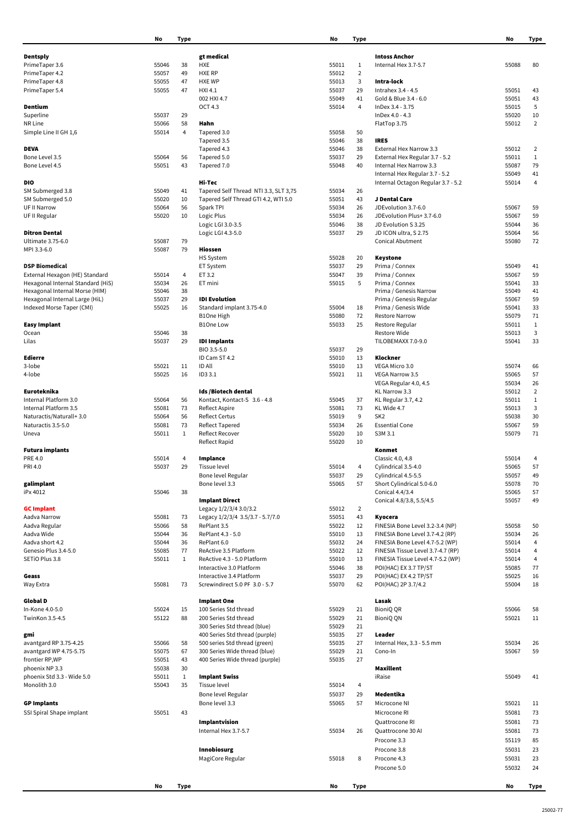|                                              | No             | <b>Type</b>        |                                                         | <b>No</b>      | <b>Type</b>    |                                                            | No             | <b>Type</b>       |
|----------------------------------------------|----------------|--------------------|---------------------------------------------------------|----------------|----------------|------------------------------------------------------------|----------------|-------------------|
| <b>Dentsply</b>                              |                |                    | gt medical                                              |                |                | <b>Intoss Anchor</b>                                       |                |                   |
| PrimeTaper 3.6                               | 55046          | 38                 | <b>HXE</b>                                              | 55011          | $\mathbf{1}$   | Internal Hex 3.7-5.7                                       | 55088          | 80                |
| PrimeTaper 4.2                               | 55057          | 49                 | <b>HXE RP</b>                                           | 55012          | $\overline{2}$ |                                                            |                |                   |
| PrimeTaper 4.8                               | 55055          | 47                 | <b>HXE WP</b>                                           | 55013          | 3              | Intra-lock                                                 |                |                   |
| PrimeTaper 5.4                               | 55055          | 47                 | HXI 4.1                                                 | 55037          | 29             | Intrahex 3.4 - 4.5                                         | 55051          | 43                |
|                                              |                |                    | 002 HXI 4.7                                             | 55049          | 41             | Gold & Blue 3.4 - 6.0                                      | 55051          | 43                |
| <b>Dentium</b>                               |                |                    | <b>OCT 4.3</b>                                          | 55014          | $\overline{4}$ | InDex 3.4 - 3.75                                           | 55015          | 5                 |
| Superline                                    | 55037          | 29                 |                                                         |                |                | InDex 4.0 - 4.3                                            | 55020          | 10                |
| NR Line                                      | 55066          | 58                 | Hahn                                                    |                |                | FlatTop 3.75                                               | 55012          | $\overline{2}$    |
| Simple Line II GH 1,6                        | 55014          | 4                  | Tapered 3.0                                             | 55058          | 50             |                                                            |                |                   |
|                                              |                |                    | Tapered 3.5                                             | 55046          | 38             | <b>IRES</b>                                                |                |                   |
| <b>DEVA</b><br>Bone Level 3.5                |                | 56                 | Tapered 4.3                                             | 55046<br>55037 | 38             | External Hex Narrow 3.3                                    | 55012<br>55011 | 2<br>$\mathbf{1}$ |
| Bone Level 4.5                               | 55064<br>55051 | 43                 | Tapered 5.0<br>Tapered 7.0                              | 55048          | 29<br>40       | External Hex Regular 3.7 - 5.2<br>Internal Hex Narrow 3.3  | 55087          | 79                |
|                                              |                |                    |                                                         |                |                | Internal Hex Regular 3.7 - 5.2                             | 55049          | 41                |
| <b>DIO</b>                                   |                |                    | Hi-Tec                                                  |                |                | Internal Octagon Regular 3.7 - 5.2                         | 55014          | $\overline{4}$    |
| SM Submerged 3.8                             | 55049          | 41                 | Tapered Self Thread NTI 3.3, SLT 3,75                   | 55034          | 26             |                                                            |                |                   |
| SM Submerged 5.0                             | 55020          | 10                 | Tapered Self Thread GTI 4.2, WTI 5.0                    | 55051          | 43             | J Dental Care                                              |                |                   |
| <b>UF II Narrow</b>                          | 55064          | 56                 | Spark TPI                                               | 55034          | 26             | JDEvolution 3.7-6.0                                        | 55067          | 59                |
| UF II Regular                                | 55020          | 10                 | Logic Plus                                              | 55034          | 26             | JDEvolution Plus+ 3.7-6.0                                  | 55067          | 59                |
|                                              |                |                    | Logic LGI 3.0-3.5                                       | 55046          | 38             | JD Evolution S 3.25                                        | 55044          | 36                |
| <b>Ditron Dental</b>                         |                |                    | Logic LGI 4.3-5.0                                       | 55037          | 29             | JD ICON ultra, S 2.75                                      | 55064          | 56                |
| Ultimate 3.75-6.0                            | 55087          | 79                 |                                                         |                |                | <b>Conical Abutment</b>                                    | 55080          | 72                |
| MPI 3.3-6.0                                  | 55087          | 79                 | Hiossen                                                 |                |                |                                                            |                |                   |
| <b>DSP Biomedical</b>                        |                |                    | HS System<br>ET System                                  | 55028<br>55037 | 20<br>29       | <b>Keystone</b><br>Prima / Connex                          | 55049          | 41                |
| External Hexagon (HE) Standard               | 55014          | 4                  | ET 3.2                                                  | 55047          | 39             | Prima / Connex                                             | 55067          | 59                |
| Hexagonal Internal Standard (HiS)            | 55034          | 26                 | ET mini                                                 | 55015          | 5              | Prima / Connex                                             | 55041          | 33                |
| Hexagonal Internal Morse (HIM)               | 55046          | 38                 |                                                         |                |                | Prima / Genesis Narrow                                     | 55049          | 41                |
| Hexagonal Internal Large (HiL)               | 55037          | 29                 | <b>IDI</b> Evolution                                    |                |                | Prima / Genesis Regular                                    | 55067          | 59                |
| Indexed Morse Taper (CMI)                    | 55025          | 16                 | Standard implant 3.75-4.0                               | 55004          | 18             | Prima / Genesis Wide                                       | 55041          | 33                |
|                                              |                |                    | <b>B1One High</b>                                       | 55080          | 72             | <b>Restore Narrow</b>                                      | 55079          | 71                |
| <b>Easy Implant</b>                          |                |                    | <b>B1One Low</b>                                        | 55033          | 25             | Restore Regular                                            | 55011          | 1                 |
| Ocean                                        | 55046          | 38                 |                                                         |                |                | Restore Wide                                               | 55013          | 3                 |
| Lilas                                        | 55037          | 29                 | <b>IDI Implants</b>                                     |                |                | TILOBEMAXX 7.0-9.0                                         | 55041          | 33                |
|                                              |                |                    | BIO 3.5-5.0                                             | 55037          | 29             |                                                            |                |                   |
| <b>Edierre</b>                               |                |                    | ID Cam ST 4.2                                           | 55010          | 13             | Klockner                                                   |                |                   |
| 3-lobe<br>4-lobe                             | 55021<br>55025 | 11<br>16           | ID All<br>ID3 3.1                                       | 55010<br>55021 | 13<br>11       | VEGA Micro 3.0<br><b>VEGA Narrow 3.5</b>                   | 55074<br>55065 | 66<br>57          |
|                                              |                |                    |                                                         |                |                | VEGA Regular 4.0, 4.5                                      | 55034          | 26                |
| Euroteknika                                  |                |                    | Ids /Biotech dental                                     |                |                | KL Narrow 3.3                                              | 55012          | $\overline{2}$    |
| Internal Platform 3.0                        | 55064          | 56                 | Kontact, Kontact-S 3.6 - 4.8                            | 55045          | 37             | KL Regular 3.7, 4.2                                        | 55011          | $\mathbf{1}$      |
| Internal Platform 3.5                        | 55081          | 73                 | Reflect Aspire                                          | 55081          | 73             | KL Wide 4.7                                                | 55013          | 3                 |
| Naturactis/Naturall+3.0                      | 55064          | 56                 | <b>Reflect Certus</b>                                   | 55019          | 9              | SK <sub>2</sub>                                            | 55038          | 30                |
| Naturactis 3.5-5.0                           | 55081          | 73                 | Reflect Tapered                                         | 55034          | 26             | <b>Essential Cone</b>                                      | 55067          | 59                |
| Uneva                                        | 55011          | $\mathbf{1}$       | Reflect Recover                                         | 55020          | 10             | S3M 3.1                                                    | 55079          | 71                |
|                                              |                |                    | <b>Reflect Rapid</b>                                    | 55020          | 10             |                                                            |                |                   |
| <b>Futura implants</b>                       |                |                    |                                                         |                |                | Konmet                                                     |                |                   |
| PRE 4.0                                      | 55014<br>55037 | 4<br>29            | Implance<br>Tissue level                                | 55014          |                | Classic 4.0, 4.8<br>Cylindrical 3.5-4.0                    | 55014<br>55065 | 4<br>57           |
| PRI 4.0                                      |                |                    | Bone level Regular                                      | 55037          | 4<br>29        | Cylindrical 4.5-5.5                                        | 55057          | 49                |
| galimplant                                   |                |                    | Bone level 3.3                                          | 55065          | 57             | Short Cylindrical 5.0-6.0                                  | 55078          | 70                |
| iPx 4012                                     | 55046          | 38                 |                                                         |                |                | Conical 4.4/3.4                                            | 55065          | 57                |
|                                              |                |                    | <b>Implant Direct</b>                                   |                |                | Conical 4.8/3.8, 5.5/4.5                                   | 55057          | 49                |
| <b>GC Implant</b>                            |                |                    | Legacy 1/2/3/4 3.0/3.2                                  | 55012          | $\overline{2}$ |                                                            |                |                   |
| Aadva Narrow                                 | 55081          | 73                 | Legacy 1/2/3/4 3.5/3.7 - 5.7/7.0                        | 55051          | 43             | Kyocera                                                    |                |                   |
| Aadva Regular                                | 55066          | 58                 | RePlant 3.5                                             | 55022          | 12             | FINESIA Bone Level 3.2-3.4 (NP)                            | 55058          | 50                |
| Aadva Wide                                   | 55044          | 36                 | RePlant 4.3 - 5.0                                       | 55010          | 13             | FINESIA Bone Level 3.7-4.2 (RP)                            | 55034          | 26                |
| Aadva short 4.2                              | 55044          | 36                 | RePlant 6.0                                             | 55032          | 24             | FINESIA Bone Level 4.7-5.2 (WP)                            | 55014          | 4                 |
| Genesio Plus 3.4-5.0                         | 55085          | 77                 | ReActive 3.5 Platform                                   | 55022          | 12             | FINESIA Tissue Level 3.7-4.7 (RP)                          | 55014          | 4                 |
| SETIO Plus 3.8                               | 55011          | $\mathbf{1}$       | ReActive 4.3 - 5.0 Platform<br>Interactive 3.0 Platform | 55010<br>55046 | 13<br>38       | FINESIA Tissue Level 4.7-5.2 (WP)<br>POI(HAC) EX 3.7 TP/ST | 55014<br>55085 | 4<br>77           |
| Geass                                        |                |                    | Interactive 3.4 Platform                                | 55037          | 29             | POI(HAC) EX 4.2 TP/ST                                      | 55025          | 16                |
| Way Extra                                    | 55081          | 73                 | Screwindirect 5.0 PF 3.0 - 5.7                          | 55070          | 62             | POI(HAC) 2P 3.7/4.2                                        | 55004          | 18                |
|                                              |                |                    |                                                         |                |                |                                                            |                |                   |
| <b>Global D</b>                              |                |                    | <b>Implant One</b>                                      |                |                | Lasak                                                      |                |                   |
| In-Kone 4.0-5.0                              | 55024          | 15                 | 100 Series Std thread                                   | 55029          | 21             | <b>BioniQ QR</b>                                           | 55066          | 58                |
| TwinKon 3.5-4.5                              | 55122          | 88                 | 200 Series Std thread                                   | 55029          | 21             | <b>BioniQ QN</b>                                           | 55021          | 11                |
|                                              |                |                    | 300 Series Std thread (blue)                            | 55029          | 21             |                                                            |                |                   |
| gmi                                          |                |                    | 400 Series Std thread (purple)                          | 55035          | 27             | Leader                                                     |                |                   |
| avantgard RP 3.75-4.25                       | 55066          | 58                 | 500 series Std thread (green)                           | 55035          | 27             | Internal Hex, 3.3 - 5.5 mm                                 | 55034          | 26                |
| avantgard WP 4.75-5.75                       | 55075          | 67                 | 300 Series Wide thread (blue)                           | 55029          | 21             | Cono-In                                                    | 55067          | 59                |
| frontier RP, WP                              | 55051          | 43                 | 400 Series Wide thread (purple)                         | 55035          | 27             |                                                            |                |                   |
| phoenix NP 3.3<br>phoenix Std 3.3 - Wide 5.0 | 55038          | 30                 |                                                         |                |                | <b>Maxillent</b>                                           |                |                   |
| Monolith 3.0                                 | 55011<br>55043 | $\mathbf{1}$<br>35 | <b>Implant Swiss</b><br>Tissue level                    | 55014          | $\overline{4}$ | iRaise                                                     | 55049          | 41                |
|                                              |                |                    | Bone level Regular                                      | 55037          | 29             | Medentika                                                  |                |                   |
| <b>GP Implants</b>                           |                |                    | Bone level 3.3                                          | 55065          | 57             | Microcone NI                                               | 55021          | 11                |
| SSI Spiral Shape implant                     | 55051          | 43                 |                                                         |                |                | Microcone RI                                               | 55081          | 73                |
|                                              |                |                    | Implantvision                                           |                |                |                                                            | 55081          |                   |
|                                              |                |                    |                                                         |                |                | Quattrocone RI                                             |                | 73                |
|                                              |                |                    | Internal Hex 3.7-5.7                                    | 55034          | 26             | Quattrocone 30 Al                                          | 55081          | 73                |
|                                              |                |                    |                                                         |                |                | Procone 3.3                                                | 55119          | 85                |
|                                              |                |                    | Innobiosurg                                             |                |                | Procone 3.8                                                | 55031          | 23                |
|                                              |                |                    | MagiCore Regular                                        | 55018          | 8              | Procone 4.3                                                | 55031          | 23                |
|                                              |                |                    |                                                         |                |                | Procone 5.0                                                | 55032          | 24                |
|                                              |                |                    |                                                         |                |                |                                                            |                |                   |
|                                              | No             | <b>Type</b>        |                                                         | No             | <b>Type</b>    |                                                            | No             | Type              |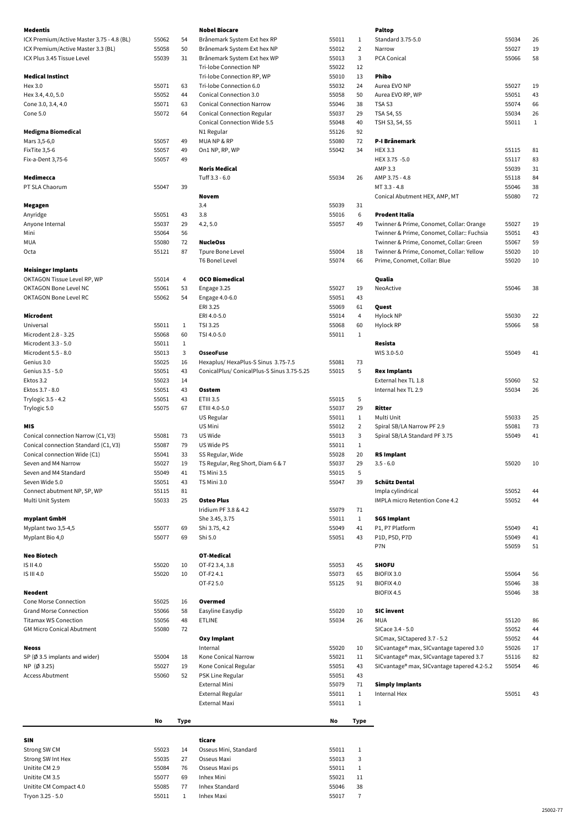| <b>Medentis</b>                           |       |              | <b>Nobel Biocare</b>                      |                |                | <b>Paltop</b>                                           |       |        |
|-------------------------------------------|-------|--------------|-------------------------------------------|----------------|----------------|---------------------------------------------------------|-------|--------|
| ICX Premium/Active Master 3.75 - 4.8 (BL) | 55062 | 54           | Brånemark System Ext hex RP               | 55011          | $\mathbf{1}$   | Standard 3.75-5.0                                       | 55034 | 26     |
| ICX Premium/Active Master 3.3 (BL)        | 55058 | 50           | Brånemark System Ext hex NP               | 55012          | $\overline{2}$ | Narrow                                                  | 55027 | 19     |
| ICX Plus 3.45 Tissue Level                | 55039 | 31           | Brånemark System Ext hex WP               | 55013          | 3              | PCA Conical                                             | 55066 | 58     |
|                                           |       |              | Tri-lobe Connection NP                    | 55022          | 12             |                                                         |       |        |
| <b>Medical Instinct</b>                   |       |              | Tri-lobe Connection RP, WP                | 55010          | 13             | <b>Phibo</b>                                            |       |        |
| Hex 3.0                                   | 55071 | 63           | Tri-lobe Connection 6.0                   | 55032          | 24             | Aurea EVO NP                                            | 55027 | 19     |
| Hex 3.4, 4.0, 5.0                         | 55052 | 44           | <b>Conical Connection 3.0</b>             | 55058          | 50             | Aurea EVO RP, WP                                        | 55051 | 43     |
| Cone 3.0, 3.4, 4.0                        | 55071 | 63           | <b>Conical Connection Narrow</b>          | 55046          | 38             | TSA S3                                                  | 55074 | 66     |
| Cone 5.0                                  | 55072 | 64           | <b>Conical Connection Regular</b>         | 55037          | 29             | TSA S4, S5                                              | 55034 | 26     |
|                                           |       |              | <b>Conical Connection Wide 5.5</b>        | 55048          | 40             | TSH S3, S4, S5                                          | 55011 | 1      |
| <b>Medigma Biomedical</b>                 |       |              | N1 Regular                                | 55126          | 92             |                                                         |       |        |
| Mars 3,5-6,0                              | 55057 | 49           | MUANP&RP                                  | 55080          | 72             | P-I Brånemark                                           |       |        |
| FixTite 3,5-6                             | 55057 | 49           | On1 NP, RP, WP                            | 55042          | 34             | <b>HEX 3.3</b>                                          | 55115 | 81     |
| Fix-a-Dent 3,75-6                         | 55057 | 49           |                                           |                |                | HEX 3.75 -5.0                                           | 55117 | 83     |
|                                           |       |              | <b>Noris Medical</b>                      |                |                | AMP 3.3                                                 | 55039 | $31\,$ |
| Medimecca                                 |       |              | Tuff 3.3 - 6.0                            | 55034          | 26             | AMP 3.75 - 4.8                                          | 55118 | 84     |
| PT SLA Chaorum                            | 55047 | 39           |                                           |                |                | MT 3.3 - 4.8                                            | 55046 | $38\,$ |
|                                           |       |              | <b>Novem</b>                              |                |                | Conical Abutment HEX, AMP, MT                           | 55080 | 72     |
| Megagen                                   |       |              | 3.4                                       | 55039          | 31             |                                                         |       |        |
| Anyridge                                  | 55051 | 43           | 3.8                                       | 55016          | 6              | <b>Prodent Italia</b>                                   |       |        |
| Anyone Internal                           | 55037 | 29           | 4.2, 5.0                                  | 55057          | 49             | Twinner & Prime, Conomet, Collar: Orange                | 55027 | 19     |
| Mini                                      | 55064 | 56           |                                           |                |                | Twinner & Prime, Conomet, Collar:: Fuchsia              | 55051 | 43     |
| <b>MUA</b>                                | 55080 | 72           | <b>NucleOss</b>                           |                |                | Twinner & Prime, Conomet, Collar: Green                 | 55067 | 59     |
| Octa                                      | 55121 | 87           | Tpure Bone Level                          | 55004          | 18             | Twinner & Prime, Conomet, Collar: Yellow                | 55020 | 10     |
|                                           |       |              | <b>T6 Bonel Level</b>                     | 55074          | 66             | Prime, Conomet, Collar: Blue                            | 55020 | 10     |
| <b>Meisinger Implants</b>                 |       |              |                                           |                |                |                                                         |       |        |
| OKTAGON Tissue Level RP, WP               | 55014 | 4            | <b>OCO Biomedical</b>                     |                |                | Qualia                                                  |       |        |
| <b>OKTAGON Bone Level NC</b>              | 55061 | 53           | Engage 3.25                               | 55027          | 19             | NeoActive                                               | 55046 | 38     |
| <b>OKTAGON Bone Level RC</b>              | 55062 | 54           | Engage 4.0-6.0                            | 55051          | 43             |                                                         |       |        |
|                                           |       |              | ERI 3.25                                  | 55069          | 61             | Quest                                                   |       |        |
| Microdent                                 |       |              | ERI 4.0-5.0                               | 55014          | 4              | Hylock NP                                               | 55030 | 22     |
| Universal                                 | 55011 | 1            | TSI 3.25                                  | 55068          | 60             | Hylock RP                                               | 55066 | 58     |
| Microdent 2.8 - 3.25                      | 55068 | 60           | TSI 4.0-5.0                               | 55011          | 1              |                                                         |       |        |
| Microdent 3.3 - 5.0                       | 55011 | $\mathbf{1}$ |                                           |                |                | Resista                                                 |       |        |
| Microdent 5.5 - 8.0                       | 55013 | 3            | <b>OsseoFuse</b>                          |                |                | WIS 3.0-5.0                                             | 55049 | 41     |
| Genius 3.0                                | 55025 | 16           | Hexaplus/HexaPlus-S Sinus 3.75-7.5        | 55081          | 73             |                                                         |       |        |
|                                           |       | 43           | ConicalPlus/ConicalPlus-S Sinus 3.75-5.25 |                | 5              | <b>Rex Implants</b>                                     |       |        |
| Genius 3.5 - 5.0                          | 55051 |              |                                           | 55015          |                |                                                         |       |        |
| Ektos 3.2                                 | 55023 | 14           |                                           |                |                | External hex TL 1.8                                     | 55060 | 52     |
| Ektos 3.7 - 8.0                           | 55051 | 43           | Osstem                                    |                |                | Internal hex TL 2.9                                     | 55034 | 26     |
| Trylogic 3.5 - 4.2                        | 55051 | 43           | <b>ETIII 3.5</b>                          | 55015          | 5              |                                                         |       |        |
| Trylogic 5.0                              | 55075 | 67           | ETIII 4.0-5.0                             | 55037          | 29             | <b>Ritter</b>                                           |       |        |
|                                           |       |              | US Regular                                | 55011          | 1              | Multi Unit                                              | 55033 | 25     |
| <b>MIS</b>                                |       |              | US Mini                                   | 55012          | 2              | Spiral SB/LA Narrow PF 2.9                              | 55081 | 73     |
| Conical connection Narrow (C1, V3)        | 55081 | 73           | US Wide                                   | 55013          | 3              | Spiral SB/LA Standard PF 3.75                           | 55049 | 41     |
| Conical connection Standard (C1, V3)      | 55087 | 79           | US Wide PS                                | 55011          | $\mathbf{1}$   |                                                         |       |        |
| Conical connection Wide (C1)              | 55041 | 33           | SS Regular, Wide                          | 55028          | 20             | <b>RS Implant</b>                                       |       |        |
| Seven and M4 Narrow                       | 55027 | 19           | TS Regular, Reg Short, Diam 6 & 7         | 55037          | 29             | $3.5 - 6.0$                                             | 55020 | 10     |
| Seven and M4 Standard                     | 55049 | 41           | TS Mini 3.5                               | 55015          | 5              |                                                         |       |        |
| Seven Wide 5.0                            | 55051 | 43           | TS Mini 3.0                               | 55047          | 39             | <b>Schütz Dental</b>                                    |       |        |
| Connect abutment NP, SP, WP               | 55115 | 81           |                                           |                |                | Impla cylindrical                                       | 55052 | 44     |
| Multi Unit System                         | 55033 | 25           | <b>Osteo Plus</b>                         |                |                | <b>IMPLA micro Retention Cone 4.2</b>                   | 55052 | 44     |
|                                           |       |              | Iridium PF 3.8 & 4.2                      | 55079          | 71             |                                                         |       |        |
| myplant GmbH                              |       |              | She 3.45, 3.75                            | 55011          | $\mathbf{1}$   | <b>SGS Implant</b>                                      |       |        |
| Myplant two 3,5-4,5                       | 55077 | 69           | Shi 3.75, 4.2                             | 55049          | 41             | P1, P7 Platform                                         | 55049 | 41     |
| Myplant Bio 4,0                           | 55077 | 69           | Shi 5.0                                   | 55051          | 43             | P1D, P5D, P7D                                           | 55049 | 41     |
|                                           |       |              |                                           |                |                | P7N                                                     | 55059 | 51     |
| <b>Neo Biotech</b>                        |       |              | <b>OT-Medical</b>                         |                |                |                                                         |       |        |
| IS II 4.0                                 | 55020 | 10           | OT-F2 3.4, 3.8                            | 55053          | 45             | <b>SHOFU</b>                                            |       |        |
| IS III 4.0                                | 55020 | 10           | OT-F2 4.1                                 | 55073          | 65             | BIOFIX 3.0                                              | 55064 | 56     |
|                                           |       |              | OT-F2 5.0                                 | 55125          | 91             | BIOFIX 4.0                                              | 55046 | 38     |
| <b>Neodent</b>                            |       |              |                                           |                |                | BIOFIX 4.5                                              | 55046 | 38     |
| <b>Cone Morse Connection</b>              | 55025 | 16           | Overmed                                   |                |                |                                                         |       |        |
| <b>Grand Morse Connection</b>             | 55066 | 58           | Easyline Easydip                          | 55020          | 10             | <b>SIC invent</b>                                       |       |        |
| <b>Titamax WS Conection</b>               | 55056 | 48           | <b>ETLINE</b>                             | 55034          | 26             | <b>MUA</b>                                              | 55120 | 86     |
| <b>GM Micro Conical Abutment</b>          | 55080 | 72           |                                           |                |                | SICace 3.4 - 5.0                                        | 55052 | 44     |
|                                           |       |              | Oxy Implant                               |                |                | SICmax, SICtapered 3.7 - 5.2                            | 55052 | 44     |
| <b>Neoss</b>                              |       |              | Internal                                  | 55020          | 10             | SICvantage® max, SICvantage tapered 3.0                 | 55026 | 17     |
| SP $(\emptyset$ 3.5 implants and wider)   | 55004 | 18           | Kone Conical Narrow                       | 55021          | 11             | SICvantage® max, SICvantage tapered 3.7                 | 55116 | 82     |
| NP (Ø 3.25)                               | 55027 | 19           | Kone Conical Regular                      | 55051          | 43             | SICvantage <sup>®</sup> max, SICvantage tapered 4.2-5.2 | 55054 | 46     |
| <b>Access Abutment</b>                    | 55060 | 52           | PSK Line Regular                          | 55051          | 43             |                                                         |       |        |
|                                           |       |              | External Mini                             | 55079          | 71             | <b>Simply Implants</b>                                  |       |        |
|                                           |       |              | <b>External Regular</b><br>External Maxi  | 55011<br>55011 | 1<br>1         | Internal Hex                                            | 55051 | 43     |

| No<br>No<br>Туре<br>Туре |
|--------------------------|
|--------------------------|

| <b>SIN</b>             |       |    | ticare                |       |    |
|------------------------|-------|----|-----------------------|-------|----|
| Strong SW CM           | 55023 | 14 | Osseus Mini, Standard | 55011 |    |
| Strong SW Int Hex      | 55035 | 27 | Osseus Maxi           | 55013 | 3  |
| Unitite CM 2.9         | 55084 | 76 | Osseus Maxi ps        | 55011 |    |
| Unitite CM 3.5         | 55077 | 69 | Inhex Mini            | 55021 | 11 |
| Unitite CM Compact 4.0 | 55085 | 77 | Inhex Standard        | 55046 | 38 |
| Tryon 3.25 - 5.0       | 55011 |    | Inhex Maxi            | 55017 |    |